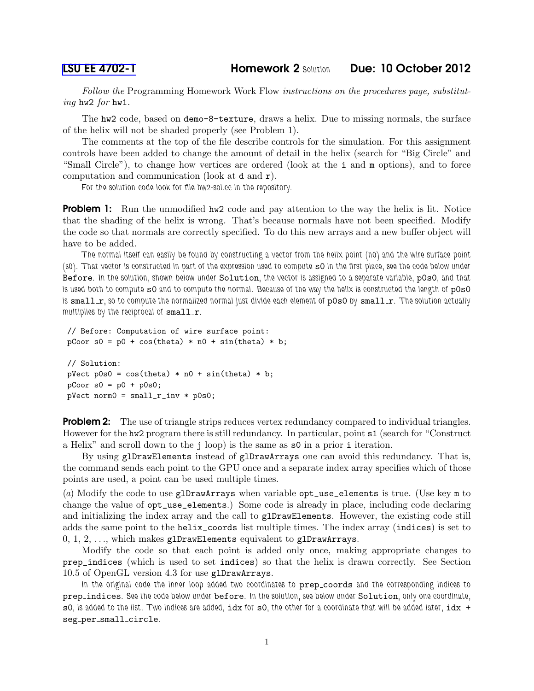*Follow the* Programming Homework Work Flow *instructions on the procedures page, substituting* hw2 *for* hw1*.*

The hw2 code, based on demo-8-texture, draws a helix. Due to missing normals, the surface of the helix will not be shaded properly (see Problem 1).

The comments at the top of the file describe controls for the simulation. For this assignment controls have been added to change the amount of detail in the helix (search for "Big Circle" and "Small Circle"), to change how vertices are ordered (look at the i and m options), and to force computation and communication (look at d and r).

*For the solution code look for file hw2-sol.cc in the repository.*

**Problem 1:** Run the unmodified hw2 code and pay attention to the way the helix is lit. Notice that the shading of the helix is wrong. That's because normals have not been specified. Modify the code so that normals are correctly specified. To do this new arrays and a new buffer object will have to be added.

*The normal itself can easily be found by constructing a vector from the helix point (n0) and the wire surface point (s0).* That vector is constructed in part of the expression used to compute  $s0$  in the first place, see the code below under Before*. In the solution, shown below under* Solution*, the vector is assigned to a separate variable,* p0s0*, and that* is used both to compute s0 and to compute the normal. Because of the way the helix is constructed the length of p0s0 *is* small *r*, so to compute the normalized normal just divide each element of  $p0s0$  by small *r*. The solution actually multiplies by the reciprocal of small\_r.

```
// Before: Computation of wire surface point:
pCoor s0 = p0 + cos(theta) * n0 + sin(theta) * b;// Solution:
pVect p0s0 = cos(theta) * n0 + sin(theta) * b;pCoor s0 = p0 + p0s0;pVect norm0 = small_r_inv * p0s0;
```
**Problem 2:** The use of triangle strips reduces vertex redundancy compared to individual triangles. However for the hw2 program there is still redundancy. In particular, point s1 (search for "Construct a Helix" and scroll down to the j loop) is the same as s0 in a prior i iteration.

By using glDrawElements instead of glDrawArrays one can avoid this redundancy. That is, the command sends each point to the GPU once and a separate index array specifies which of those points are used, a point can be used multiple times.

(*a*) Modify the code to use glDrawArrays when variable opt\_use\_elements is true. (Use key m to change the value of opt\_use\_elements.) Some code is already in place, including code declaring and initializing the index array and the call to glDrawElements. However, the existing code still adds the same point to the helix\_coords list multiple times. The index array (indices) is set to  $0, 1, 2, \ldots$ , which makes glDrawElements equivalent to glDrawArrays.

Modify the code so that each point is added only once, making appropriate changes to prep\_indices (which is used to set indices) so that the helix is drawn correctly. See Section 10.5 of OpenGL version 4.3 for use glDrawArrays.

In the original code the inner loop added two coordinates to prep\_coords and the corresponding indices to prep indices*. See the code below under* before*. In the solution, see below under* Solution*, only one coordinate,* s0*, is added to the list. Two indices are added,* idx *for* s0*, the other for a coordinate that will be added later,* idx + seg per small circle*.*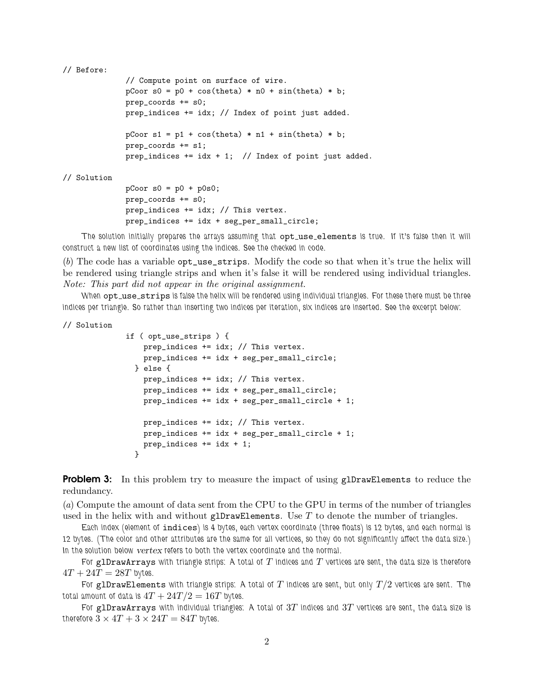```
// Before:
```

```
// Compute point on surface of wire.
pCoor s0 = p0 + cos(theta) * n0 + sin(theta) * b;prep_coords += s0;
prep_indices += idx; // Index of point just added.
pCoor s1 = p1 + cos(theta) * n1 + sin(theta) * b;prep_coords += s1;
prep_indices += idx + 1; // Index of point just added.
```
// Solution

```
pCoor s0 = p0 + p0s0;
prep_coords += s0;
prep_indices += idx; // This vertex.
prep_indices += idx + seg_per_small_circle;
```
*The solution initially prepares the arrays assuming that* opt use elements *is true. If it's false then it will construct a new list of coordinates using the indices. See the checked in code.*

(*b*) The code has a variable opt\_use\_strips. Modify the code so that when it's true the helix will be rendered using triangle strips and when it's false it will be rendered using individual triangles. *Note: This part did not appear in the original assignment.*

When opt\_use\_strips is false the helix will be rendered using individual triangles. For these there must be three *indices per triangle. So rather than inserting two indices per iteration, six indices are inserted. See the excerpt below:*

// Solution

```
if ( opt_use_strips ) {
   prep_indices += idx; // This vertex.
   prep_indices += idx + seg_per_small_circle;
  } else {
   prep_indices += idx; // This vertex.
   prep_indices += idx + seg_per_small_circle;
   prep_indices += idx + seg_per_small_circle + 1;
   prep_indices += idx; // This vertex.
   prep_indices += idx + seg_per_small_circle + 1;
   prep_indices += idx + 1;
  }
```
**Problem 3:** In this problem try to measure the impact of using glDrawElements to reduce the redundancy.

(*a*) Compute the amount of data sent from the CPU to the GPU in terms of the number of triangles used in the helix with and without glDrawElements. Use  $T$  to denote the number of triangles.

*Each index (element of* indices*) is 4 bytes, each vertex coordinate (three floats) is 12 bytes, and each normal is 12 bytes. (The color and other attributes are the same for all vertices, so they do not significantly affect the data size.) In the solution below* vertex *refers to both the vertex coordinate and the normal.*

*For* glDrawArrays *with triangle strips: A total of* T *indices and* T *vertices are sent, the data size is therefore*  $4T + 24T = 28T$  bytes.

*For* glDrawElements *with triangle strips: A total of* T *indices are sent, but only* T/2 *vertices are sent. The total amount of data is*  $4T + 24T/2 = 16T$  *bytes.* 

*For* glDrawArrays *with individual triangles: A total of* 3T *indices and* 3T *vertices are sent, the data size is therefore*  $3 \times 4T + 3 \times 24T = 84T$  *bytes.*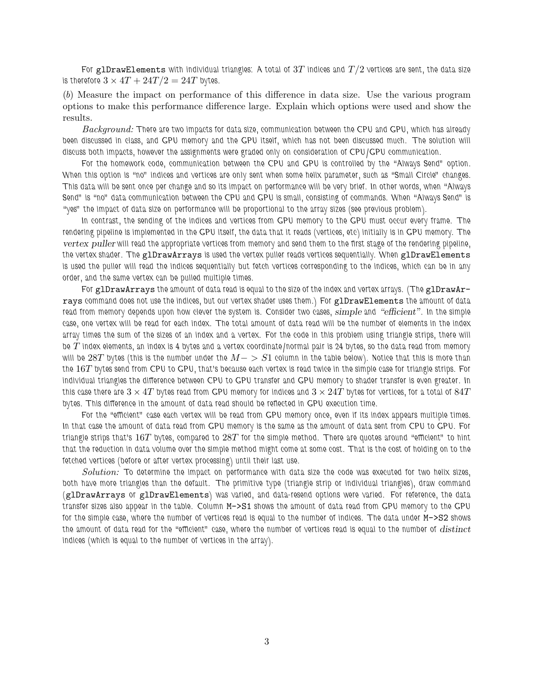*For* glDrawElements *with individual triangles: A total of* 3T *indices and* T/2 *vertices are sent, the data size is therefore*  $3 \times 4T + 24T/2 = 24T$  *bytes.* 

(*b*) Measure the impact on performance of this difference in data size. Use the various program options to make this performance difference large. Explain which options were used and show the results.

*Background: There are two impacts for data size, communication between the CPU and GPU, which has already* been discussed in class, and GPU memory and the GPU itself, which has not been discussed much. The solution will *discuss both impacts, however the assignments were graded only on consideration of CPU/GPU communication.*

*For the homework code, communication between the CPU and GPU is controlled by the "Always Send" option. When this option is "no" indices and vertices are only sent when some helix parameter, such as "Small Circle" changes. This data will be sent once per change and so its impact on performance will be very brief. In other words, when "Always Send" is "no" data communication between the CPU and GPU is small, consisting of commands. When "Always Send" is "yes" the impact of data size on performance will be proportional to the array sizes (see previous problem).*

*In contrast, the sending of the indices and vertices from GPU memory to the GPU must occur every frame. The rendering pipeline is implemented in the GPU itself, the data that it reads (vertices, etc) initially is in GPU memory. The* vertex puller *will read the appropriate vertices from memory and send them to the first stage of the rendering pipeline, the vertex shader. The* glDrawArrays *is used the vertex puller reads vertices sequentially. When* glDrawElements *is used the puller will read the indices sequentially but fetch vertices corresponding to the indices, which can be in any order, and the same vertex can be pulled multiple times.*

*For* glDrawArrays *the amount of data read is equal to the size of the index and vertex arrays. (The* glDrawArrays *command does not use the indices, but our vertex shader uses them.) For* glDrawElements *the amount of data read from memory depends upon how clever the system is. Consider two cases,* simple *and* "efficient"*. In the simple case, one vertex will be read for each index. The total amount of data read will be the number of elements in the index array times the sum of the sizes of an index and a vertex. For the code in this problem using triangle strips, there will be* T *index elements, an index is 4 bytes and a vertex coordinate/normal pair is 24 bytes, so the data read from memory will be* 28T *bytes (this is the number under the* M− > S1 *column in the table below). Notice that this is more than the* 16T *bytes send from CPU to GPU, that's because each vertex is read twice in the simple case for triangle strips. For individual triangles the difference between CPU to GPU transfer and GPU memory to shader transfer is even greater. In* this case there are  $3\times 4T$  bytes read from GPU memory for indices and  $3\times 24T$  bytes for vertices, for a total of  $84T$ *bytes. This difference in the amount of data read should be reflected in GPU execution time.*

*For the "efficient" case each vertex will be read from GPU memory once, even if its index appears multiple times. In that case the amount of data read from GPU memory is the same as the amount of data sent from CPU to GPU. For triangle strips that's* 16T *bytes, compared to* 28T *for the simple method. There are quotes around "efficient" to hint that the reduction in data volume over the simple method might come at some cost. That is the cost of holding on to the fetched vertices (before or after vertex processing) until their last use.*

*Solution: To determine the impact on performance with data size the code was executed for two helix sizes, both have more triangles than the default. The primitive type (triangle strip or individual triangles), draw command (*glDrawArrays *or* glDrawElements*) was varied, and data-resend options were varied. For reference, the data transfer sizes also appear in the table. Column* M->S1 *shows the amount of data read from GPU memory to the GPU for the simple case, where the number of vertices read is equal to the number of indices. The data under* M->S2 *shows the amount of data read for the "efficient" case, where the number of vertices read is equal to the number of* distinct *indices (which is equal to the number of vertices in the array).*